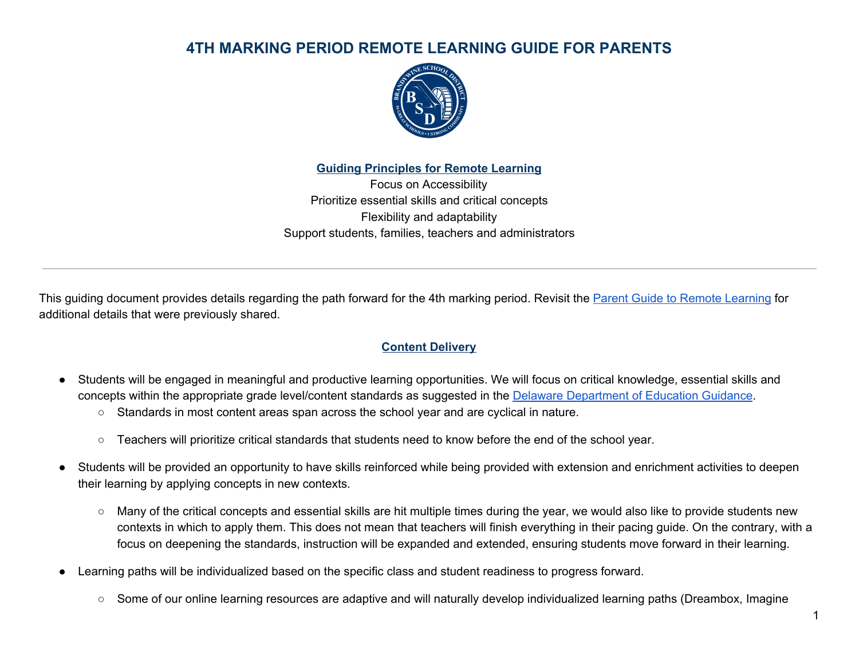

**Guiding Principles for Remote Learning**

Focus on Accessibility Prioritize essential skills and critical concepts Flexibility and adaptability Support students, families, teachers and administrators

This guiding document provides details regarding the path forward for the 4th marking period. Revisit the **Parent Guide to Remote [Learning](https://de50000195.schoolwires.net/cms/lib/DE50000195/Centricity/Domain/5028/BSD%20Remote%20Learning%20Parent%20Guide%20Final.pdf)** for additional details that were previously shared.

### **Content Delivery**

- Students will be engaged in meaningful and productive learning opportunities. We will focus on critical knowledge, essential skills and concepts within the appropriate grade level/content standards as suggested in the Delaware [Department](https://www.doe.k12.de.us/cms/lib/DE01922744/Centricity/Domain/599/continuity_of_learning.pdf) of Education Guidance.
	- Standards in most content areas span across the school year and are cyclical in nature.
	- Teachers will prioritize critical standards that students need to know before the end of the school year.
- Students will be provided an opportunity to have skills reinforced while being provided with extension and enrichment activities to deepen their learning by applying concepts in new contexts.
	- Many of the critical concepts and essential skills are hit multiple times during the year, we would also like to provide students new contexts in which to apply them. This does not mean that teachers will finish everything in their pacing guide. On the contrary, with a focus on deepening the standards, instruction will be expanded and extended, ensuring students move forward in their learning.
- Learning paths will be individualized based on the specific class and student readiness to progress forward.
	- Some of our online learning resources are adaptive and will naturally develop individualized learning paths (Dreambox, Imagine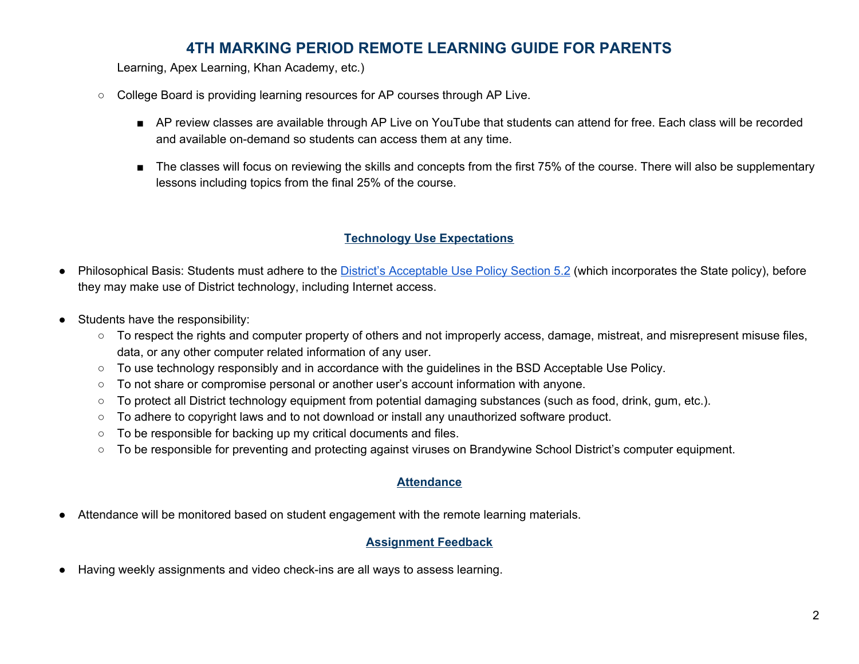Learning, Apex Learning, Khan Academy, etc.)

- College Board is providing learning resources for AP courses through AP Live.
	- AP review classes are available through AP Live on YouTube that students can attend for free. Each class will be recorded and available on-demand so students can access them at any time.
	- The classes will focus on reviewing the skills and concepts from the first 75% of the course. There will also be supplementary lessons including topics from the final 25% of the course.

### **Technology Use Expectations**

- Philosophical Basis: Students must adhere to the *District's [Acceptable](https://www.brandywineschools.org/site/handlers/filedownload.ashx?moduleinstanceid=10963&dataid=12647&FileName=BSD%20Policy%20Manual.pdf) Use Policy Section 5.2* (which incorporates the State policy), before they may make use of District technology, including Internet access.
- Students have the responsibility:
	- To respect the rights and computer property of others and not improperly access, damage, mistreat, and misrepresent misuse files, data, or any other computer related information of any user.
	- To use technology responsibly and in accordance with the guidelines in the BSD Acceptable Use Policy.
	- To not share or compromise personal or another user's account information with anyone.
	- $\circ$  To protect all District technology equipment from potential damaging substances (such as food, drink, gum, etc.).
	- To adhere to copyright laws and to not download or install any unauthorized software product.
	- To be responsible for backing up my critical documents and files.
	- To be responsible for preventing and protecting against viruses on Brandywine School District's computer equipment.

### **Attendance**

Attendance will be monitored based on student engagement with the remote learning materials.

### **Assignment Feedback**

Having weekly assignments and video check-ins are all ways to assess learning.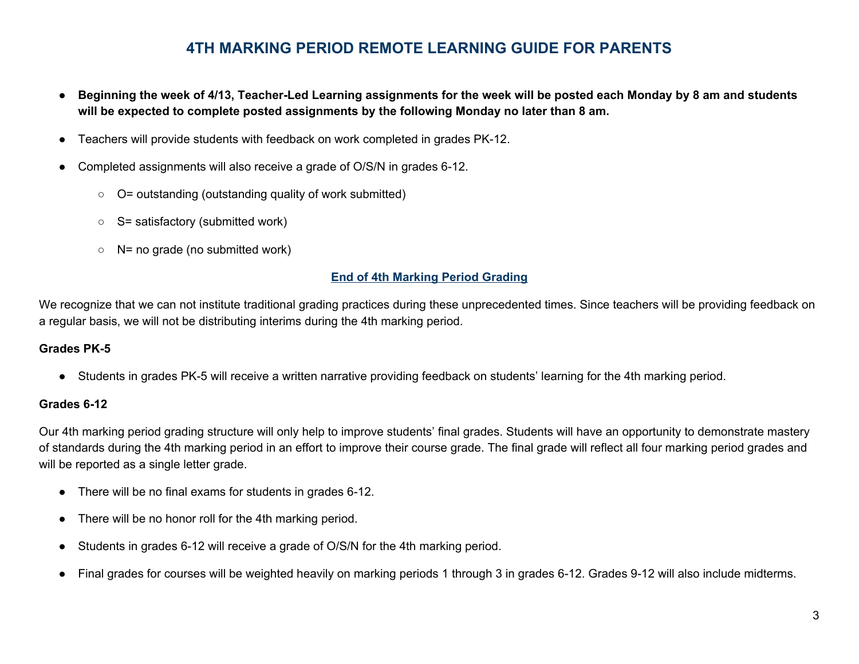- Beginning the week of 4/13, Teacher-Led Learning assignments for the week will be posted each Monday by 8 am and students **will be expected to complete posted assignments by the following Monday no later than 8 am.**
- Teachers will provide students with feedback on work completed in grades PK-12.
- Completed assignments will also receive a grade of O/S/N in grades 6-12.
	- O= outstanding (outstanding quality of work submitted)
	- $\circ$  S= satisfactory (submitted work)
	- $\circ$  N= no grade (no submitted work)

#### **End of 4th Marking Period Grading**

We recognize that we can not institute traditional grading practices during these unprecedented times. Since teachers will be providing feedback on a regular basis, we will not be distributing interims during the 4th marking period.

#### **Grades PK-5**

● Students in grades PK-5 will receive a written narrative providing feedback on students' learning for the 4th marking period.

#### **Grades 6-12**

Our 4th marking period grading structure will only help to improve students' final grades. Students will have an opportunity to demonstrate mastery of standards during the 4th marking period in an effort to improve their course grade. The final grade will reflect all four marking period grades and will be reported as a single letter grade.

- There will be no final exams for students in grades 6-12.
- There will be no honor roll for the 4th marking period.
- Students in grades 6-12 will receive a grade of O/S/N for the 4th marking period.
- Final grades for courses will be weighted heavily on marking periods 1 through 3 in grades 6-12. Grades 9-12 will also include midterms.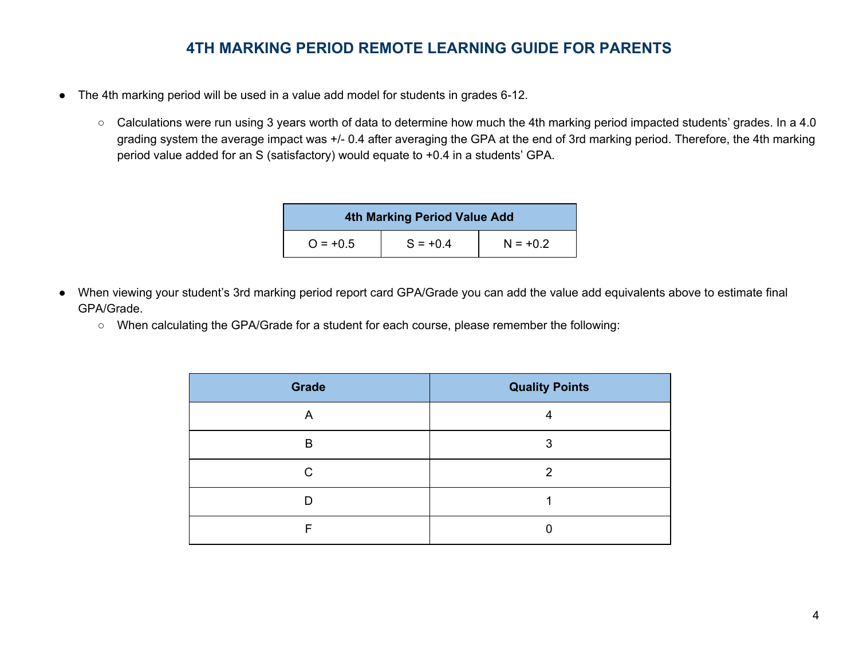- The 4th marking period will be used in a value add model for students in grades 6-12.
	- Calculations were run using 3 years worth of data to determine how much the 4th marking period impacted students' grades. In a 4.0 grading system the average impact was +/- 0.4 after averaging the GPA at the end of 3rd marking period. Therefore, the 4th marking period value added for an S (satisfactory) would equate to +0.4 in a students' GPA.

| 4th Marking Period Value Add |            |            |  |  |
|------------------------------|------------|------------|--|--|
| $Q = +0.5$                   | $S = +0.4$ | $N = +0.2$ |  |  |

- When viewing your student's 3rd marking period report card GPA/Grade you can add the value add equivalents above to estimate final GPA/Grade.
	- When calculating the GPA/Grade for a student for each course, please remember the following:

| <b>Grade</b> | <b>Quality Points</b> |
|--------------|-----------------------|
| A            | 4                     |
| B            | 3                     |
| C            | 2                     |
|              |                       |
|              |                       |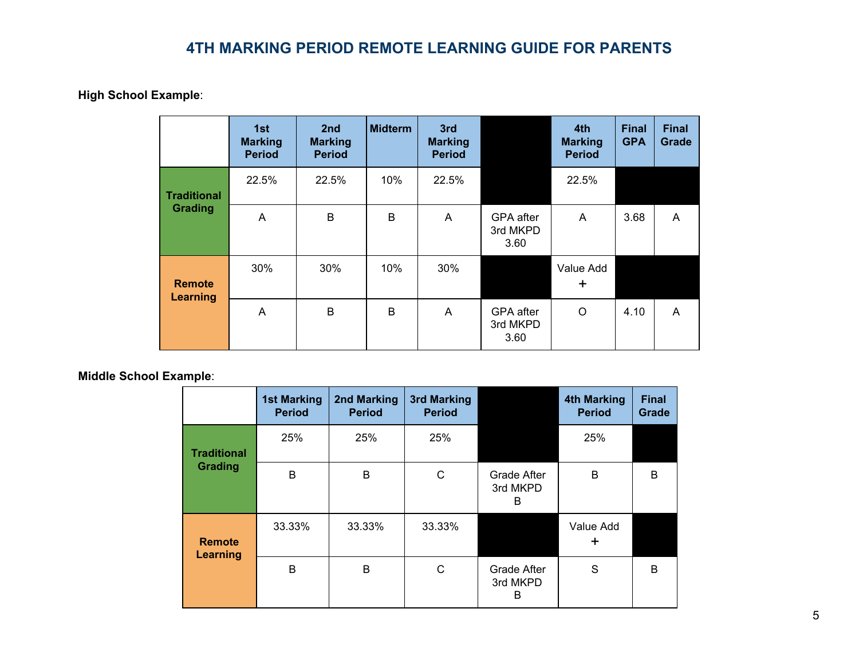**High School Example**:

|                                  | 1st<br><b>Marking</b><br><b>Period</b> | 2nd<br><b>Marking</b><br><b>Period</b> | <b>Midterm</b> | 3rd<br><b>Marking</b><br><b>Period</b> |                                      | 4th<br><b>Marking</b><br><b>Period</b> | <b>Final</b><br><b>GPA</b> | <b>Final</b><br>Grade |
|----------------------------------|----------------------------------------|----------------------------------------|----------------|----------------------------------------|--------------------------------------|----------------------------------------|----------------------------|-----------------------|
| <b>Traditional</b>               | 22.5%                                  | 22.5%                                  | 10%            | 22.5%                                  |                                      | 22.5%                                  |                            |                       |
| Grading                          | A                                      | B                                      | B              | $\mathsf{A}$                           | GPA after<br>3rd MKPD<br>3.60        | A                                      | 3.68                       | A                     |
| <b>Remote</b><br><b>Learning</b> | 30%                                    | 30%                                    | 10%            | 30%                                    |                                      | Value Add<br>$\ddot{}$                 |                            |                       |
|                                  | A                                      | B                                      | B              | A                                      | <b>GPA</b> after<br>3rd MKPD<br>3.60 | $\circ$                                | 4.10                       | A                     |

**Middle School Example**:

|                                  | <b>1st Marking</b><br><b>Period</b> | 2nd Marking<br><b>Period</b> | 3rd Marking<br><b>Period</b> |                                     | <b>4th Marking</b><br><b>Period</b> | <b>Final</b><br>Grade |
|----------------------------------|-------------------------------------|------------------------------|------------------------------|-------------------------------------|-------------------------------------|-----------------------|
| <b>Traditional</b>               | 25%                                 | 25%                          | 25%                          |                                     | 25%                                 |                       |
| Grading                          | B                                   | B                            | С                            | <b>Grade After</b><br>3rd MKPD<br>B | B                                   | B                     |
| <b>Remote</b><br><b>Learning</b> | 33.33%                              | 33.33%                       | 33.33%                       |                                     | Value Add<br>٠                      |                       |
|                                  | B                                   | B                            | C                            | Grade After<br>3rd MKPD<br>B        | S                                   | B                     |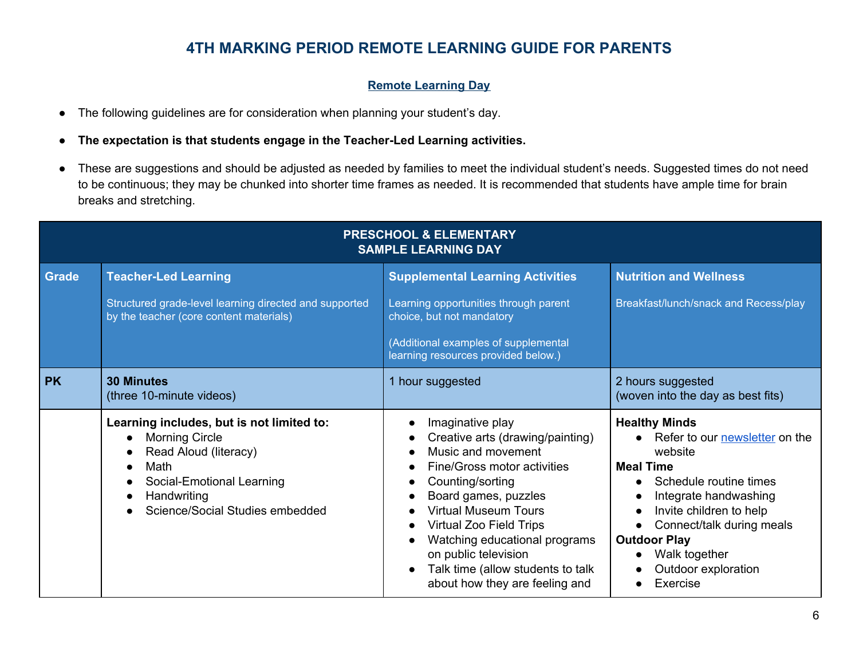#### **Remote Learning Day**

- The following guidelines are for consideration when planning your student's day.
- **The expectation is that students engage in the Teacher-Led Learning activities.**
- These are suggestions and should be adjusted as needed by families to meet the individual student's needs. Suggested times do not need to be continuous; they may be chunked into shorter time frames as needed. It is recommended that students have ample time for brain breaks and stretching.

| <b>PRESCHOOL &amp; ELEMENTARY</b><br><b>SAMPLE LEARNING DAY</b> |                                                                                                                                                                                    |                                                                                                                                                                                                                                                                                                                                                        |                                                                                                                                                                                                                                                                                                 |  |  |
|-----------------------------------------------------------------|------------------------------------------------------------------------------------------------------------------------------------------------------------------------------------|--------------------------------------------------------------------------------------------------------------------------------------------------------------------------------------------------------------------------------------------------------------------------------------------------------------------------------------------------------|-------------------------------------------------------------------------------------------------------------------------------------------------------------------------------------------------------------------------------------------------------------------------------------------------|--|--|
| <b>Grade</b>                                                    | <b>Teacher-Led Learning</b><br>Structured grade-level learning directed and supported<br>by the teacher (core content materials)                                                   | <b>Supplemental Learning Activities</b><br>Learning opportunities through parent<br>choice, but not mandatory<br>(Additional examples of supplemental<br>learning resources provided below.)                                                                                                                                                           | <b>Nutrition and Wellness</b><br>Breakfast/lunch/snack and Recess/play                                                                                                                                                                                                                          |  |  |
| <b>PK</b>                                                       | <b>30 Minutes</b><br>(three 10-minute videos)                                                                                                                                      | 1 hour suggested                                                                                                                                                                                                                                                                                                                                       | 2 hours suggested<br>(woven into the day as best fits)                                                                                                                                                                                                                                          |  |  |
|                                                                 | Learning includes, but is not limited to:<br><b>Morning Circle</b><br>Read Aloud (literacy)<br>Math<br>Social-Emotional Learning<br>Handwriting<br>Science/Social Studies embedded | Imaginative play<br>Creative arts (drawing/painting)<br>Music and movement<br>Fine/Gross motor activities<br>Counting/sorting<br>Board games, puzzles<br><b>Virtual Museum Tours</b><br><b>Virtual Zoo Field Trips</b><br>Watching educational programs<br>on public television<br>Talk time (allow students to talk<br>about how they are feeling and | <b>Healthy Minds</b><br>Refer to our <b>newsletter</b> on the<br>website<br><b>Meal Time</b><br>Schedule routine times<br>Integrate handwashing<br>Invite children to help<br>$\bullet$<br>Connect/talk during meals<br><b>Outdoor Play</b><br>Walk together<br>Outdoor exploration<br>Exercise |  |  |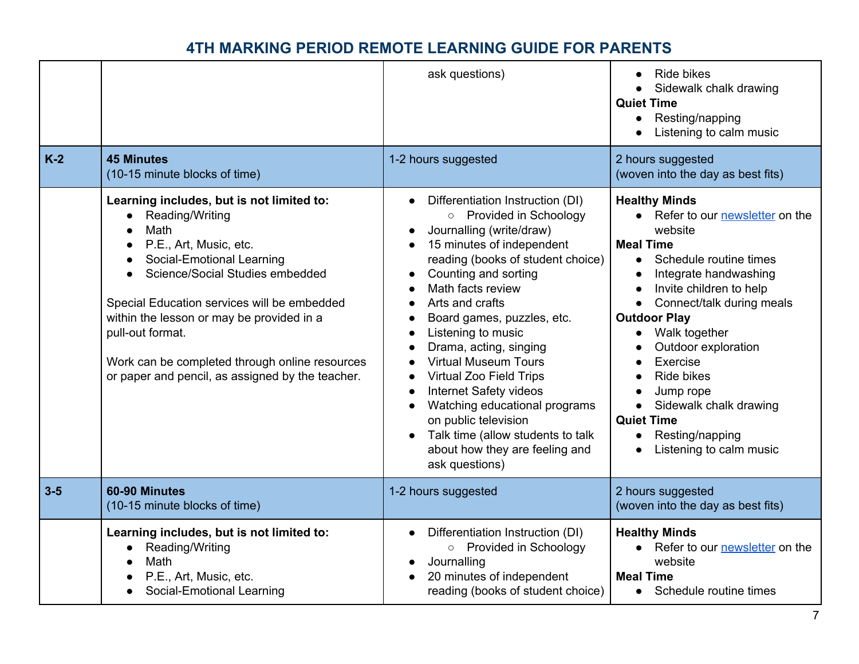| $K-2$   | <b>45 Minutes</b><br>(10-15 minute blocks of time)                                                                                                                                                                                                                                                                                                                                                                          | ask questions)<br>1-2 hours suggested                                                                                                                                                                                                                                                                                                                                                                                                                                                                                                                                                       | <b>Ride bikes</b><br>Sidewalk chalk drawing<br><b>Quiet Time</b><br>Resting/napping<br>$\bullet$<br>Listening to calm music<br>2 hours suggested<br>(woven into the day as best fits)                                                                                                                                                                                                                                                                                                      |
|---------|-----------------------------------------------------------------------------------------------------------------------------------------------------------------------------------------------------------------------------------------------------------------------------------------------------------------------------------------------------------------------------------------------------------------------------|---------------------------------------------------------------------------------------------------------------------------------------------------------------------------------------------------------------------------------------------------------------------------------------------------------------------------------------------------------------------------------------------------------------------------------------------------------------------------------------------------------------------------------------------------------------------------------------------|--------------------------------------------------------------------------------------------------------------------------------------------------------------------------------------------------------------------------------------------------------------------------------------------------------------------------------------------------------------------------------------------------------------------------------------------------------------------------------------------|
|         | Learning includes, but is not limited to:<br>Reading/Writing<br>$\bullet$<br>Math<br>P.E., Art, Music, etc.<br>$\bullet$<br>Social-Emotional Learning<br>Science/Social Studies embedded<br>$\bullet$<br>Special Education services will be embedded<br>within the lesson or may be provided in a<br>pull-out format.<br>Work can be completed through online resources<br>or paper and pencil, as assigned by the teacher. | Differentiation Instruction (DI)<br>$\bullet$<br>o Provided in Schoology<br>Journalling (write/draw)<br>$\bullet$<br>15 minutes of independent<br>reading (books of student choice)<br>Counting and sorting<br>Math facts review<br>Arts and crafts<br>Board games, puzzles, etc.<br>Listening to music<br>Drama, acting, singing<br><b>Virtual Museum Tours</b><br>Virtual Zoo Field Trips<br><b>Internet Safety videos</b><br>$\bullet$<br>Watching educational programs<br>on public television<br>Talk time (allow students to talk<br>about how they are feeling and<br>ask questions) | <b>Healthy Minds</b><br>• Refer to our newsletter on the<br>website<br><b>Meal Time</b><br>Schedule routine times<br>$\bullet$<br>Integrate handwashing<br>Invite children to help<br>$\bullet$<br>Connect/talk during meals<br>$\bullet$<br><b>Outdoor Play</b><br>Walk together<br>$\bullet$<br>Outdoor exploration<br>Exercise<br><b>Ride bikes</b><br>Jump rope<br>Sidewalk chalk drawing<br>$\bullet$<br><b>Quiet Time</b><br>Resting/napping<br>$\bullet$<br>Listening to calm music |
| $3 - 5$ | 60-90 Minutes<br>(10-15 minute blocks of time)                                                                                                                                                                                                                                                                                                                                                                              | 1-2 hours suggested                                                                                                                                                                                                                                                                                                                                                                                                                                                                                                                                                                         | 2 hours suggested<br>(woven into the day as best fits)                                                                                                                                                                                                                                                                                                                                                                                                                                     |
|         | Learning includes, but is not limited to:<br>Reading/Writing<br>Math<br>P.E., Art, Music, etc.<br>Social-Emotional Learning                                                                                                                                                                                                                                                                                                 | Differentiation Instruction (DI)<br>o Provided in Schoology<br>Journalling<br>20 minutes of independent<br>reading (books of student choice)                                                                                                                                                                                                                                                                                                                                                                                                                                                | <b>Healthy Minds</b><br>• Refer to our newsletter on the<br>website<br><b>Meal Time</b><br>Schedule routine times<br>$\bullet$                                                                                                                                                                                                                                                                                                                                                             |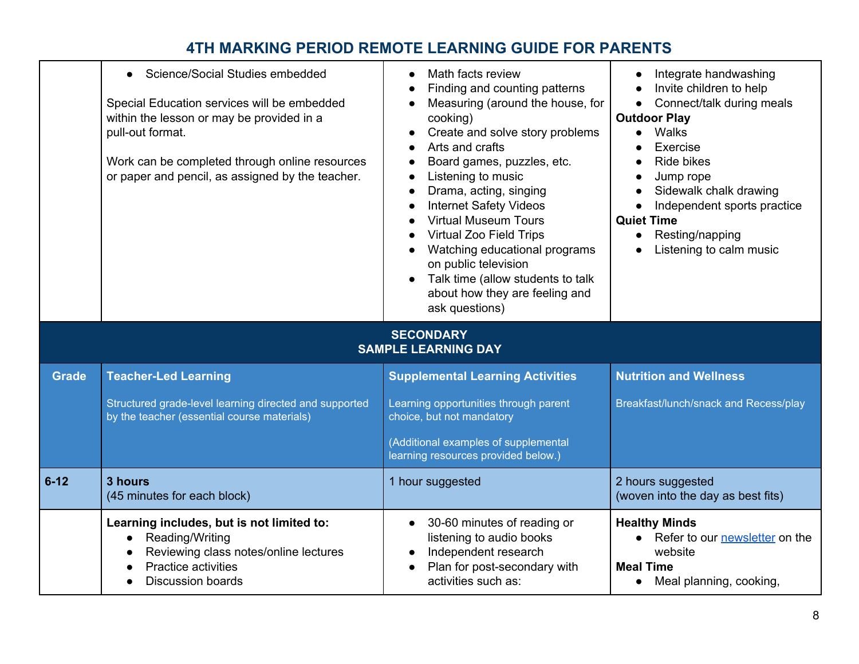|              | Science/Social Studies embedded<br>$\bullet$<br>Special Education services will be embedded<br>within the lesson or may be provided in a<br>pull-out format.<br>Work can be completed through online resources<br>or paper and pencil, as assigned by the teacher. | Math facts review<br>$\bullet$<br>Finding and counting patterns<br>Measuring (around the house, for<br>cooking)<br>Create and solve story problems<br>$\bullet$<br>Arts and crafts<br>$\bullet$<br>Board games, puzzles, etc.<br>$\bullet$<br>Listening to music<br>$\bullet$<br>Drama, acting, singing<br>$\bullet$<br><b>Internet Safety Videos</b><br>$\bullet$<br><b>Virtual Museum Tours</b><br>$\bullet$<br><b>Virtual Zoo Field Trips</b><br>Watching educational programs<br>on public television<br>Talk time (allow students to talk<br>about how they are feeling and<br>ask questions) | Integrate handwashing<br>Invite children to help<br>Connect/talk during meals<br>$\bullet$<br><b>Outdoor Play</b><br>Walks<br>Exercise<br>Ride bikes<br>Jump rope<br>Sidewalk chalk drawing<br>$\bullet$<br>Independent sports practice<br>$\bullet$<br><b>Quiet Time</b><br>Resting/napping<br>$\bullet$<br>Listening to calm music |
|--------------|--------------------------------------------------------------------------------------------------------------------------------------------------------------------------------------------------------------------------------------------------------------------|----------------------------------------------------------------------------------------------------------------------------------------------------------------------------------------------------------------------------------------------------------------------------------------------------------------------------------------------------------------------------------------------------------------------------------------------------------------------------------------------------------------------------------------------------------------------------------------------------|--------------------------------------------------------------------------------------------------------------------------------------------------------------------------------------------------------------------------------------------------------------------------------------------------------------------------------------|
|              |                                                                                                                                                                                                                                                                    | <b>SECONDARY</b><br><b>SAMPLE LEARNING DAY</b>                                                                                                                                                                                                                                                                                                                                                                                                                                                                                                                                                     |                                                                                                                                                                                                                                                                                                                                      |
| <b>Grade</b> | <b>Teacher-Led Learning</b>                                                                                                                                                                                                                                        | <b>Supplemental Learning Activities</b>                                                                                                                                                                                                                                                                                                                                                                                                                                                                                                                                                            | <b>Nutrition and Wellness</b>                                                                                                                                                                                                                                                                                                        |
|              | Structured grade-level learning directed and supported<br>by the teacher (essential course materials)                                                                                                                                                              | Learning opportunities through parent<br>choice, but not mandatory                                                                                                                                                                                                                                                                                                                                                                                                                                                                                                                                 | Breakfast/lunch/snack and Recess/play                                                                                                                                                                                                                                                                                                |
|              |                                                                                                                                                                                                                                                                    | (Additional examples of supplemental<br>learning resources provided below.)                                                                                                                                                                                                                                                                                                                                                                                                                                                                                                                        |                                                                                                                                                                                                                                                                                                                                      |
| $6 - 12$     | 3 hours<br>(45 minutes for each block)                                                                                                                                                                                                                             | 1 hour suggested                                                                                                                                                                                                                                                                                                                                                                                                                                                                                                                                                                                   | 2 hours suggested<br>(woven into the day as best fits)                                                                                                                                                                                                                                                                               |
|              | Learning includes, but is not limited to:<br>Reading/Writing<br>$\bullet$                                                                                                                                                                                          | 30-60 minutes of reading or<br>$\bullet$<br>listening to audio books                                                                                                                                                                                                                                                                                                                                                                                                                                                                                                                               | <b>Healthy Minds</b><br>• Refer to our newsletter on the                                                                                                                                                                                                                                                                             |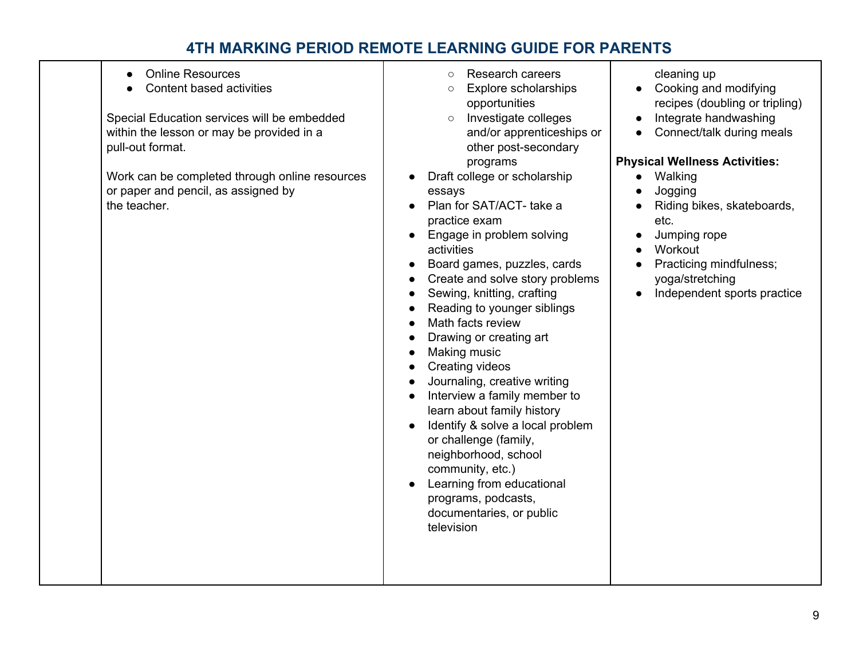| <b>Online Resources</b><br>Content based activities<br>Special Education services will be embedded<br>within the lesson or may be provided in a<br>pull-out format.<br>Work can be completed through online resources<br>or paper and pencil, as assigned by<br>the teacher. | Research careers<br>$\circ$<br><b>Explore scholarships</b><br>$\circ$<br>opportunities<br>Investigate colleges<br>$\circ$<br>and/or apprenticeships or<br>other post-secondary<br>programs<br>Draft college or scholarship<br>essays<br>Plan for SAT/ACT- take a<br>practice exam<br>Engage in problem solving<br>activities<br>Board games, puzzles, cards<br>Create and solve story problems<br>Sewing, knitting, crafting<br>Reading to younger siblings<br>Math facts review<br>Drawing or creating art<br>Making music<br><b>Creating videos</b><br>Journaling, creative writing<br>Interview a family member to<br>learn about family history<br>Identify & solve a local problem<br>or challenge (family,<br>neighborhood, school<br>community, etc.)<br>Learning from educational<br>programs, podcasts,<br>documentaries, or public<br>television | cleaning up<br>Cooking and modifying<br>recipes (doubling or tripling)<br>Integrate handwashing<br>Connect/talk during meals<br><b>Physical Wellness Activities:</b><br>• Walking<br>Jogging<br>Riding bikes, skateboards,<br>etc.<br>Jumping rope<br>Workout<br>Practicing mindfulness;<br>yoga/stretching<br>Independent sports practice |
|------------------------------------------------------------------------------------------------------------------------------------------------------------------------------------------------------------------------------------------------------------------------------|------------------------------------------------------------------------------------------------------------------------------------------------------------------------------------------------------------------------------------------------------------------------------------------------------------------------------------------------------------------------------------------------------------------------------------------------------------------------------------------------------------------------------------------------------------------------------------------------------------------------------------------------------------------------------------------------------------------------------------------------------------------------------------------------------------------------------------------------------------|--------------------------------------------------------------------------------------------------------------------------------------------------------------------------------------------------------------------------------------------------------------------------------------------------------------------------------------------|
|------------------------------------------------------------------------------------------------------------------------------------------------------------------------------------------------------------------------------------------------------------------------------|------------------------------------------------------------------------------------------------------------------------------------------------------------------------------------------------------------------------------------------------------------------------------------------------------------------------------------------------------------------------------------------------------------------------------------------------------------------------------------------------------------------------------------------------------------------------------------------------------------------------------------------------------------------------------------------------------------------------------------------------------------------------------------------------------------------------------------------------------------|--------------------------------------------------------------------------------------------------------------------------------------------------------------------------------------------------------------------------------------------------------------------------------------------------------------------------------------------|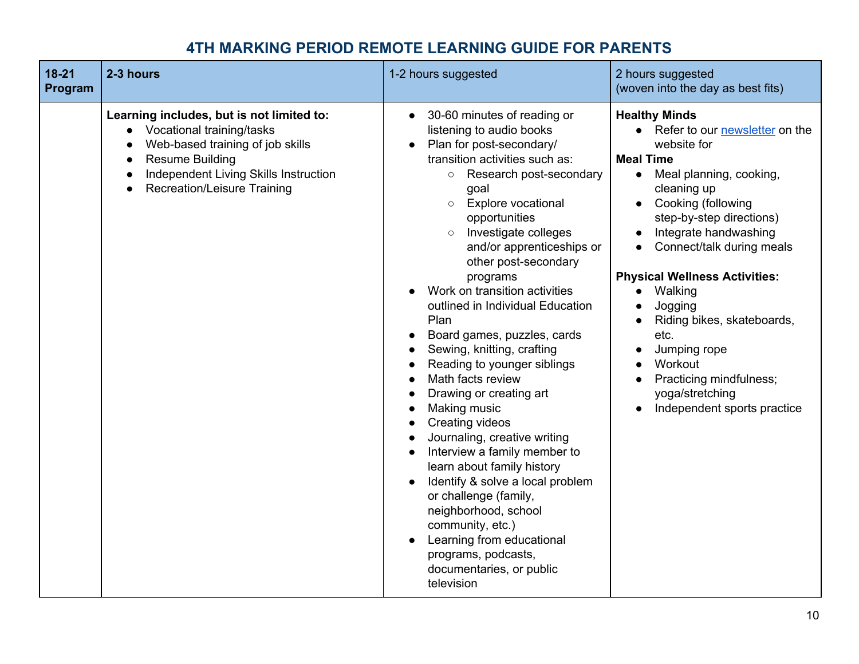| $18 - 21$<br>Program | 2-3 hours                                                                                                                                                                                                                                                  | 1-2 hours suggested                                                                                                                                                                                                                                                                                                                                                                                                                                                                                                                                                                                                                                                                                                                                                                                                                                                                                            | 2 hours suggested<br>(woven into the day as best fits)                                                                                                                                                                                                                                                                                                                                                                                                                 |
|----------------------|------------------------------------------------------------------------------------------------------------------------------------------------------------------------------------------------------------------------------------------------------------|----------------------------------------------------------------------------------------------------------------------------------------------------------------------------------------------------------------------------------------------------------------------------------------------------------------------------------------------------------------------------------------------------------------------------------------------------------------------------------------------------------------------------------------------------------------------------------------------------------------------------------------------------------------------------------------------------------------------------------------------------------------------------------------------------------------------------------------------------------------------------------------------------------------|------------------------------------------------------------------------------------------------------------------------------------------------------------------------------------------------------------------------------------------------------------------------------------------------------------------------------------------------------------------------------------------------------------------------------------------------------------------------|
|                      | Learning includes, but is not limited to:<br>Vocational training/tasks<br>$\bullet$<br>Web-based training of job skills<br><b>Resume Building</b><br>$\bullet$<br>Independent Living Skills Instruction<br>$\bullet$<br><b>Recreation/Leisure Training</b> | 30-60 minutes of reading or<br>$\bullet$<br>listening to audio books<br>Plan for post-secondary/<br>$\bullet$<br>transition activities such as:<br>○ Research post-secondary<br>goal<br><b>Explore vocational</b><br>$\circ$<br>opportunities<br>Investigate colleges<br>and/or apprenticeships or<br>other post-secondary<br>programs<br>Work on transition activities<br>outlined in Individual Education<br>Plan<br>Board games, puzzles, cards<br>Sewing, knitting, crafting<br>Reading to younger siblings<br>Math facts review<br>Drawing or creating art<br>Making music<br><b>Creating videos</b><br>Journaling, creative writing<br>Interview a family member to<br>learn about family history<br>Identify & solve a local problem<br>or challenge (family,<br>neighborhood, school<br>community, etc.)<br>Learning from educational<br>programs, podcasts,<br>documentaries, or public<br>television | <b>Healthy Minds</b><br>• Refer to our newsletter on the<br>website for<br><b>Meal Time</b><br>Meal planning, cooking,<br>$\bullet$<br>cleaning up<br>Cooking (following<br>step-by-step directions)<br>Integrate handwashing<br>Connect/talk during meals<br><b>Physical Wellness Activities:</b><br>Walking<br>Jogging<br>Riding bikes, skateboards,<br>etc.<br>Jumping rope<br>Workout<br>Practicing mindfulness;<br>yoga/stretching<br>Independent sports practice |